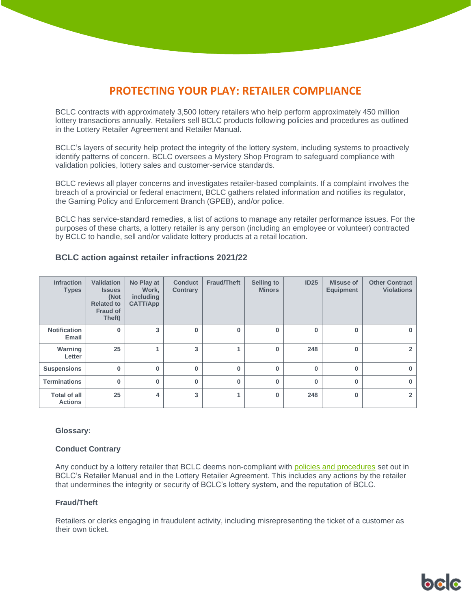# **PROTECTING YOUR PLAY: RETAILER COMPLIANCE**

BCLC contracts with approximately 3,500 lottery retailers who help perform approximately 450 million lottery transactions annually. Retailers sell BCLC products following policies and procedures as outlined in the Lottery Retailer Agreement and Retailer Manual.

BCLC's layers of security help protect the integrity of the lottery system, including systems to proactively identify patterns of concern. BCLC oversees a Mystery Shop Program to safeguard compliance with validation policies, lottery sales and customer-service standards.

BCLC reviews all player concerns and investigates retailer-based complaints. If a complaint involves the breach of a provincial or federal enactment, BCLC gathers related information and notifies its regulator, the Gaming Policy and Enforcement Branch (GPEB), and/or police.

BCLC has service-standard remedies, a list of actions to manage any retailer performance issues. For the purposes of these charts, a lottery retailer is any person (including an employee or volunteer) contracted by BCLC to handle, sell and/or validate lottery products at a retail location.

| <b>Infraction</b><br><b>Types</b>     | <b>Validation</b><br><b>Issues</b><br>(Not<br><b>Related to</b><br>Fraud of<br>Theft) | No Play at<br>Work.<br>including<br><b>CATT/App</b> | <b>Conduct</b><br><b>Contrary</b> | <b>Fraud/Theft</b> | <b>Selling to</b><br><b>Minors</b> | <b>ID25</b> | <b>Misuse of</b><br><b>Equipment</b> | <b>Other Contract</b><br><b>Violations</b> |
|---------------------------------------|---------------------------------------------------------------------------------------|-----------------------------------------------------|-----------------------------------|--------------------|------------------------------------|-------------|--------------------------------------|--------------------------------------------|
| <b>Notification</b><br>Email          | $\bf{0}$                                                                              | 3                                                   | $\Omega$                          | $\Omega$           | $\bf{0}$                           | 0           | $\Omega$                             | $\bf{0}$                                   |
| Warning<br>Letter                     | 25                                                                                    |                                                     | 3                                 |                    | $\bf{0}$                           | 248         | $\mathbf{0}$                         | $\overline{2}$                             |
| <b>Suspensions</b>                    | 0                                                                                     | 0                                                   | $\bf{0}$                          | 0                  | $\bf{0}$                           | $\bf{0}$    | $\mathbf{0}$                         | $\bf{0}$                                   |
| <b>Terminations</b>                   | 0                                                                                     | $\Omega$                                            | $\Omega$                          | $\Omega$           | $\Omega$                           | $\bf{0}$    | $\Omega$                             | $\bf{0}$                                   |
| <b>Total of all</b><br><b>Actions</b> | 25                                                                                    | 4                                                   | 3                                 | и                  | $\bf{0}$                           | 248         | $\Omega$                             | $\overline{2}$                             |

# **BCLC action against retailer infractions 2021/22**

## **Glossary:**

## **Conduct Contrary**

Any conduct by a lottery retailer that BCLC deems non-compliant with [policies and procedures](https://www.bclcretailerhub.com/policies/policies-overview.html) set out in BCLC's Retailer Manual and in the Lottery Retailer Agreement. This includes any actions by the retailer that undermines the integrity or security of BCLC's lottery system, and the reputation of BCLC.

## **Fraud/Theft**

Retailers or clerks engaging in fraudulent activity, including misrepresenting the ticket of a customer as their own ticket.